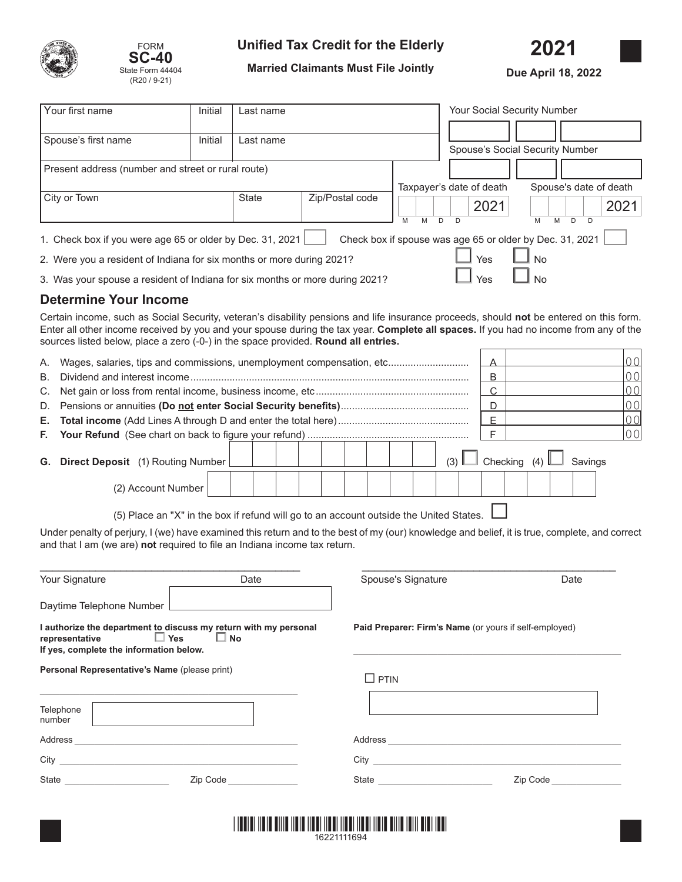



# **Unified Tax Credit for the Elderly**

**2021** 

**Married Claimants Must File Jointly**

**Due April 18, 2022**

|                                                                                           | Your first name                                                                                                                                                                                                                                                                                                                                                        | Initial<br>Last name |              |  |                 |        | Your Social Security Number |                                                          |                |  |
|-------------------------------------------------------------------------------------------|------------------------------------------------------------------------------------------------------------------------------------------------------------------------------------------------------------------------------------------------------------------------------------------------------------------------------------------------------------------------|----------------------|--------------|--|-----------------|--------|-----------------------------|----------------------------------------------------------|----------------|--|
|                                                                                           |                                                                                                                                                                                                                                                                                                                                                                        |                      |              |  |                 |        |                             |                                                          |                |  |
|                                                                                           | Spouse's first name                                                                                                                                                                                                                                                                                                                                                    | Initial              | Last name    |  |                 |        |                             |                                                          |                |  |
|                                                                                           |                                                                                                                                                                                                                                                                                                                                                                        |                      |              |  |                 |        |                             | Spouse's Social Security Number                          |                |  |
|                                                                                           | Present address (number and street or rural route)                                                                                                                                                                                                                                                                                                                     |                      |              |  |                 |        |                             |                                                          |                |  |
|                                                                                           |                                                                                                                                                                                                                                                                                                                                                                        |                      |              |  |                 |        | Taxpayer's date of death    | Spouse's date of death                                   |                |  |
|                                                                                           | City or Town                                                                                                                                                                                                                                                                                                                                                           |                      | <b>State</b> |  | Zip/Postal code |        | 2021                        |                                                          | 2021           |  |
|                                                                                           |                                                                                                                                                                                                                                                                                                                                                                        |                      |              |  |                 | M<br>M | D<br>D                      | D<br>M<br>M<br>D                                         |                |  |
|                                                                                           | 1. Check box if you were age 65 or older by Dec. 31, 2021                                                                                                                                                                                                                                                                                                              |                      |              |  |                 |        |                             | Check box if spouse was age 65 or older by Dec. 31, 2021 |                |  |
|                                                                                           | Yes<br><b>No</b><br>2. Were you a resident of Indiana for six months or more during 2021?                                                                                                                                                                                                                                                                              |                      |              |  |                 |        |                             |                                                          |                |  |
| No<br>Yes<br>3. Was your spouse a resident of Indiana for six months or more during 2021? |                                                                                                                                                                                                                                                                                                                                                                        |                      |              |  |                 |        |                             |                                                          |                |  |
|                                                                                           | <b>Determine Your Income</b>                                                                                                                                                                                                                                                                                                                                           |                      |              |  |                 |        |                             |                                                          |                |  |
|                                                                                           | Certain income, such as Social Security, veteran's disability pensions and life insurance proceeds, should not be entered on this form.<br>Enter all other income received by you and your spouse during the tax year. Complete all spaces. If you had no income from any of the<br>sources listed below, place a zero (-0-) in the space provided. Round all entries. |                      |              |  |                 |        |                             |                                                          |                |  |
| А.                                                                                        | Wages, salaries, tips and commissions, unemployment compensation, etc                                                                                                                                                                                                                                                                                                  |                      |              |  |                 |        | Α                           |                                                          | 0 <sub>0</sub> |  |
| <b>B.</b>                                                                                 |                                                                                                                                                                                                                                                                                                                                                                        |                      |              |  |                 | B      |                             | 0 <sub>0</sub>                                           |                |  |
| C.                                                                                        |                                                                                                                                                                                                                                                                                                                                                                        |                      |              |  |                 |        | $\overline{C}$              |                                                          | 0 <sub>0</sub> |  |
| D.                                                                                        |                                                                                                                                                                                                                                                                                                                                                                        |                      |              |  |                 |        | D                           |                                                          | 0 <sub>0</sub> |  |
| Е.                                                                                        |                                                                                                                                                                                                                                                                                                                                                                        |                      |              |  |                 |        | E                           |                                                          | 0 <sub>0</sub> |  |
| F.                                                                                        |                                                                                                                                                                                                                                                                                                                                                                        |                      |              |  |                 |        | F                           |                                                          | 0 <sub>0</sub> |  |
|                                                                                           | G. Direct Deposit (1) Routing Number                                                                                                                                                                                                                                                                                                                                   |                      |              |  |                 |        | (3)                         | Checking (4)<br>Savings                                  |                |  |
|                                                                                           | (2) Account Number                                                                                                                                                                                                                                                                                                                                                     |                      |              |  |                 |        |                             |                                                          |                |  |
|                                                                                           | (5) Place an "X" in the box if refund will go to an account outside the United States.                                                                                                                                                                                                                                                                                 |                      |              |  |                 |        |                             |                                                          |                |  |

Under penalty of perjury, I (we) have examined this return and to the best of my (our) knowledge and belief, it is true, complete, and correct and that I am (we are) **not** required to file an Indiana income tax return.

| Your Signature                                                                                                                                     | Date                                    | Spouse's Signature                                                                                             | Date                      |  |  |
|----------------------------------------------------------------------------------------------------------------------------------------------------|-----------------------------------------|----------------------------------------------------------------------------------------------------------------|---------------------------|--|--|
| Daytime Telephone Number                                                                                                                           |                                         |                                                                                                                |                           |  |  |
| I authorize the department to discuss my return with my personal<br>representative $\Box$ Yes $\Box$ No<br>If yes, complete the information below. |                                         | Paid Preparer: Firm's Name (or yours if self-employed)                                                         |                           |  |  |
| Personal Representative's Name (please print)<br>Telephone                                                                                         |                                         | PTIN<br>$\overline{\phantom{a}}$                                                                               |                           |  |  |
| number                                                                                                                                             |                                         |                                                                                                                |                           |  |  |
|                                                                                                                                                    |                                         |                                                                                                                |                           |  |  |
| State _______________________                                                                                                                      | Zip Code <b>compared to the control</b> | State and the state of the state of the state of the state of the state of the state of the state of the state | Zip Code <b>Example 2</b> |  |  |